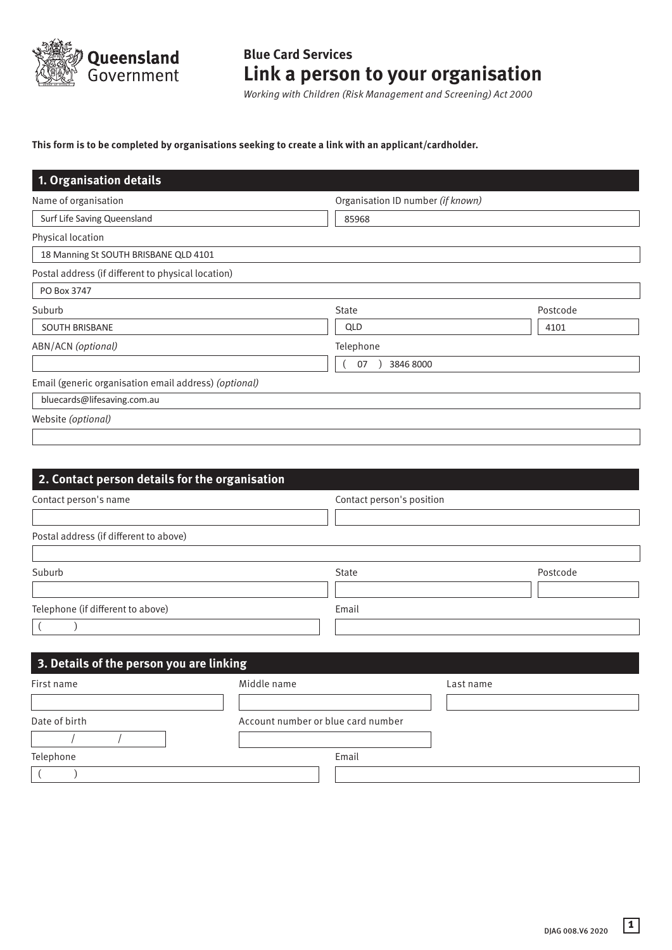

# **Blue Card Services Link a person to your organisation**

*Working with Children (Risk Management and Screening) Act 2000*

# **This form is to be completed by organisations seeking to create a link with an applicant/cardholder.**

| 1. Organisation details                               |              |                                   |  |  |
|-------------------------------------------------------|--------------|-----------------------------------|--|--|
| Name of organisation                                  |              | Organisation ID number (if known) |  |  |
| Surf Life Saving Queensland                           | 85968        |                                   |  |  |
| Physical location                                     |              |                                   |  |  |
| 18 Manning St SOUTH BRISBANE QLD 4101                 |              |                                   |  |  |
| Postal address (if different to physical location)    |              |                                   |  |  |
| PO Box 3747                                           |              |                                   |  |  |
| Suburb                                                | <b>State</b> | Postcode                          |  |  |
| <b>SOUTH BRISBANE</b>                                 | QLD          | 4101                              |  |  |
| ABN/ACN (optional)                                    | Telephone    |                                   |  |  |
| 3846 8000<br>07                                       |              |                                   |  |  |
| Email (generic organisation email address) (optional) |              |                                   |  |  |
| bluecards@lifesaving.com.au                           |              |                                   |  |  |
| Website (optional)                                    |              |                                   |  |  |
|                                                       |              |                                   |  |  |

| 2. Contact person details for the organisation |                                    |                           |           |          |
|------------------------------------------------|------------------------------------|---------------------------|-----------|----------|
| Contact person's name                          |                                    | Contact person's position |           |          |
|                                                |                                    |                           |           |          |
| Postal address (if different to above)         |                                    |                           |           |          |
|                                                |                                    |                           |           |          |
| Suburb                                         |                                    | <b>State</b>              |           | Postcode |
|                                                |                                    |                           |           |          |
| Telephone (if different to above)              |                                    | Email                     |           |          |
|                                                |                                    |                           |           |          |
|                                                |                                    |                           |           |          |
| 3. Details of the person you are linking       |                                    |                           |           |          |
| Middle name<br>First name                      |                                    |                           | Last name |          |
|                                                |                                    |                           |           |          |
| Date of birth                                  | Account number or blue card number |                           |           |          |
|                                                |                                    |                           |           |          |
| Telephone                                      |                                    | Email                     |           |          |
|                                                |                                    |                           |           |          |

**1**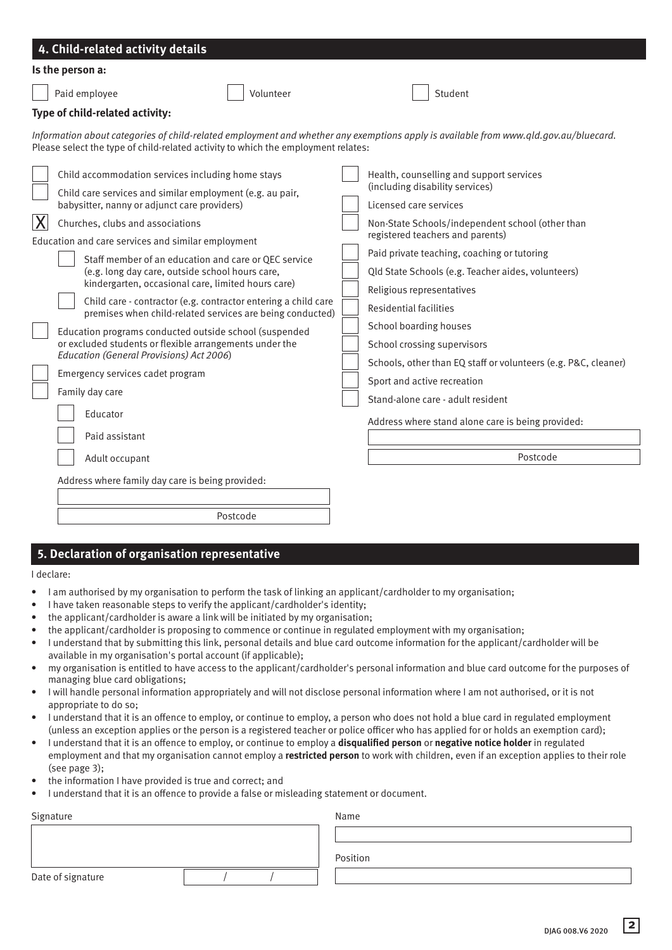|                | 4. Child-related activity details                                                                                                                                                                                                                                                                                                                                                      |                                                                                                                                                                                                                                                                                   |
|----------------|----------------------------------------------------------------------------------------------------------------------------------------------------------------------------------------------------------------------------------------------------------------------------------------------------------------------------------------------------------------------------------------|-----------------------------------------------------------------------------------------------------------------------------------------------------------------------------------------------------------------------------------------------------------------------------------|
|                | Is the person a:                                                                                                                                                                                                                                                                                                                                                                       |                                                                                                                                                                                                                                                                                   |
|                | Volunteer<br>Paid employee                                                                                                                                                                                                                                                                                                                                                             | Student                                                                                                                                                                                                                                                                           |
|                | Type of child-related activity:                                                                                                                                                                                                                                                                                                                                                        |                                                                                                                                                                                                                                                                                   |
|                | Please select the type of child-related activity to which the employment relates:                                                                                                                                                                                                                                                                                                      | Information about categories of child-related employment and whether any exemptions apply is available from www.qld.gov.au/bluecard.                                                                                                                                              |
|                | Child accommodation services including home stays<br>Child care services and similar employment (e.g. au pair,<br>babysitter, nanny or adjunct care providers)                                                                                                                                                                                                                         | Health, counselling and support services<br>(including disability services)<br>Licensed care services                                                                                                                                                                             |
| $ \mathsf{X} $ | Churches, clubs and associations<br>Education and care services and similar employment<br>Staff member of an education and care or QEC service<br>(e.g. long day care, outside school hours care,<br>kindergarten, occasional care, limited hours care)<br>Child care - contractor (e.g. contractor entering a child care<br>premises when child-related services are being conducted) | Non-State Schools/independent school (other than<br>registered teachers and parents)<br>Paid private teaching, coaching or tutoring<br>Qld State Schools (e.g. Teacher aides, volunteers)<br>Religious representatives<br><b>Residential facilities</b><br>School boarding houses |
|                | Education programs conducted outside school (suspended<br>or excluded students or flexible arrangements under the<br>Education (General Provisions) Act 2006)<br>Emergency services cadet program<br>Family day care<br>Educator<br>Paid assistant<br>Adult occupant<br>Address where family day care is being provided:                                                               | School crossing supervisors<br>Schools, other than EQ staff or volunteers (e.g. P&C, cleaner)<br>Sport and active recreation<br>Stand-alone care - adult resident<br>Address where stand alone care is being provided:<br>Postcode                                                |
|                |                                                                                                                                                                                                                                                                                                                                                                                        |                                                                                                                                                                                                                                                                                   |
|                | Postcode                                                                                                                                                                                                                                                                                                                                                                               |                                                                                                                                                                                                                                                                                   |

## **5. Declaration of organisation representative**

#### I declare:

- I am authorised by my organisation to perform the task of linking an applicant/cardholder to my organisation;
- I have taken reasonable steps to verify the applicant/cardholder's identity;
- the applicant/cardholder is aware a link will be initiated by my organisation;
- the applicant/cardholder is proposing to commence or continue in regulated employment with my organisation;
- I understand that by submitting this link, personal details and blue card outcome information for the applicant/cardholder will be available in my organisation's portal account (if applicable);
- my organisation is entitled to have access to the applicant/cardholder's personal information and blue card outcome for the purposes of managing blue card obligations;
- I will handle personal information appropriately and will not disclose personal information where I am not authorised, or it is not appropriate to do so;
- I understand that it is an offence to employ, or continue to employ, a person who does not hold a blue card in regulated employment (unless an exception applies or the person is a registered teacher or police officer who has applied for or holds an exemption card);
- I understand that it is an offence to employ, or continue to employ a **disqualified person** or **negative notice holder** in regulated employment and that my organisation cannot employ a **restricted person** to work with children, even if an exception applies to their role (see page 3);
- the information I have provided is true and correct; and
- I understand that it is an offence to provide a false or misleading statement or document.

| Signature         |  |  | Name     |  |
|-------------------|--|--|----------|--|
|                   |  |  |          |  |
|                   |  |  | Position |  |
| Date of signature |  |  |          |  |
|                   |  |  |          |  |